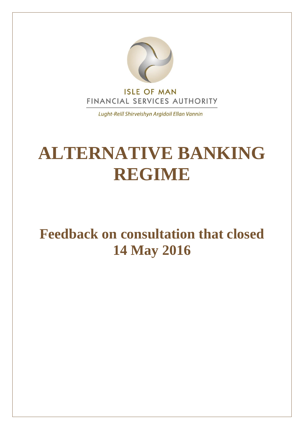

Lught-Reill Shirveishyn Argidoil Ellan Vannin

# **ALTERNATIVE BANKING REGIME**

# **Feedback on consultation that closed 14 May 2016**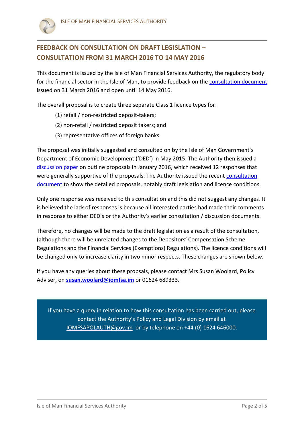

### **FEEDBACK ON CONSULTATION ON DRAFT LEGISLATION – CONSULTATION FROM 31 MARCH 2016 TO 14 MAY 2016**

This document is issued by the Isle of Man Financial Services Authority, the regulatory body for the financial sector in the Isle of Man, to provide feedback on the [consultation document](http://www.iomfsa.im/ConsultationDetail.gov?id=567)  issued on 31 March 2016 and open until 14 May 2016.

The overall proposal is to create three separate Class 1 licence types for:

- (1) retail / non-restricted deposit-takers;
- (2) non-retail / restricted deposit takers; and
- (3) representative offices of foreign banks.

The proposal was initially suggested and consulted on by the Isle of Man Government's Department of Economic Development ('DED') in May 2015. The Authority then issued a [discussion paper](http://www.iomfsa.im/ConsultationDetail.gov?id=557) on outline proposals in January 2016, which received 12 responses that were generally supportive of the proposals. The Authority issued the recent [consultation](http://www.iomfsa.im/ConsultationDetail.gov?id=567)  [document](http://www.iomfsa.im/ConsultationDetail.gov?id=567) to show the detailed proposals, notably draft legislation and licence conditions.

Only one response was received to this consultation and this did not suggest any changes. It is believed the lack of responses is because all interested parties had made their comments in response to either DED's or the Authority's earlier consultation / discussion documents.

Therefore, no changes will be made to the draft legislation as a result of the consultation, (although there will be unrelated changes to the Depositors' Compensation Scheme Regulations and the Financial Services (Exemptions) Regulations). The licence conditions will be changed only to increase clarity in two minor respects. These changes are shown below.

If you have any queries about these propsals, please contact Mrs Susan Woolard, Policy Adviser, on **[susan.woolard@iomfsa.im](mailto:susan.woolard@iomfsa.im)** or 01624 689333.

If you have a query in relation to how this consultation has been carried out, please contact the Authority's Policy and Legal Division by email at [IOMFSAPOLAUTH@gov.im](mailto:IOMFSAPOLAUTH@gov.im) or by telephone on +44 (0) 1624 646000.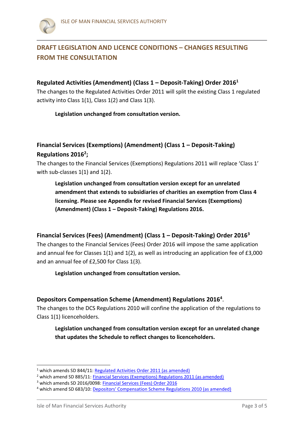### **DRAFT LEGISLATION AND LICENCE CONDITIONS – CHANGES RESULTING FROM THE CONSULTATION**

#### **Regulated Activities (Amendment) (Class 1 – Deposit-Taking) Order 2016<sup>1</sup>**

The changes to the Regulated Activities Order 2011 will split the existing Class 1 regulated activity into Class 1(1), Class 1(2) and Class 1(3).

#### **Legislation unchanged from consultation version.**

#### **Financial Services (Exemptions) (Amendment) (Class 1 – Deposit-Taking) Regulations 2016<sup>2</sup> ;**

The changes to the Financial Services (Exemptions) Regulations 2011 will replace 'Class 1' with sub-classes 1(1) and 1(2).

**Legislation unchanged from consultation version except for an unrelated amendment that extends to subsidiaries of charities an exemption from Class 4 licensing. Please see Appendix for revised Financial Services (Exemptions) (Amendment) (Class 1 – Deposit-Taking) Regulations 2016.**

#### **Financial Services (Fees) (Amendment) (Class 1 – Deposit-Taking) Order 2016<sup>3</sup>**

The changes to the Financial Services (Fees) Order 2016 will impose the same application and annual fee for Classes 1(1) and 1(2), as well as introducing an application fee of £3,000 and an annual fee of £2,500 for Class 1(3).

#### **Legislation unchanged from consultation version.**

#### **Depositors Compensation Scheme (Amendment) Regulations 2016<sup>4</sup>** .

The changes to the DCS Regulations 2010 will confine the application of the regulations to Class 1(1) licenceholders.

**Legislation unchanged from consultation version except for an unrelated change that updates the Schedule to reflect changes to licenceholders.**

-

<sup>&</sup>lt;sup>1</sup> which amends SD 844/11[: Regulated Activities Order 2011 \(as amended\)](http://www.iomfsa.im/lib/docs/iomfsa/consultations/regulatedactivitiesorder2011.pdf)

<sup>&</sup>lt;sup>2</sup> which amend SD 885/11: Financial Services (Exemptions) Regulations 2011 (as amended)

<sup>&</sup>lt;sup>3</sup> which amends SD 2016/0098: Financial Services (Fees) Order 2016

<sup>4</sup> which amend SD 683/10[: Depositors' Compensation Scheme Regulations 2010 \(as amended\)](http://www.iomfsa.im/lib/docs/iomfsa/depositorscompensationschemeregu.pdf)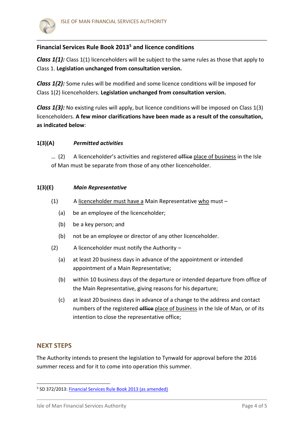

#### **Financial Services Rule Book 2013<sup>5</sup> and licence conditions**

*Class 1(1):* Class 1(1) licenceholders will be subject to the same rules as those that apply to Class 1. **Legislation unchanged from consultation version.**

*Class 1(2):* Some rules will be modified and some licence conditions will be imposed for Class 1(2) licenceholders. **Legislation unchanged from consultation version.**

*Class 1(3):* No existing rules will apply, but licence conditions will be imposed on Class 1(3) licenceholders. **A few minor clarifications have been made as a result of the consultation, as indicated below**:

#### **1(3)(A)** *Permitted activities*

... (2) A licenceholder's activities and registered office place of business in the Isle of Man must be separate from those of any other licenceholder.

#### **1(3)(E)** *Main Representative*

- (1) A licenceholder must have a Main Representative who must  $-$ 
	- (a) be an employee of the licenceholder;
	- (b) be a key person; and
	- (b) not be an employee or director of any other licenceholder.
- (2) A licenceholder must notify the Authority
	- (a) at least 20 business days in advance of the appointment or intended appointment of a Main Representative;
	- (b) within 10 business days of the departure or intended departure from office of the Main Representative, giving reasons for his departure;
	- (c) at least 20 business days in advance of a change to the address and contact numbers of the registered office place of business in the Isle of Man, or of its intention to close the representative office;

#### **NEXT STEPS**

-

The Authority intends to present the legislation to Tynwald for approval before the 2016 summer recess and for it to come into operation this summer.

<sup>&</sup>lt;sup>5</sup> SD 372/2013: **Financial Services Rule Book 2013 (as amended)**